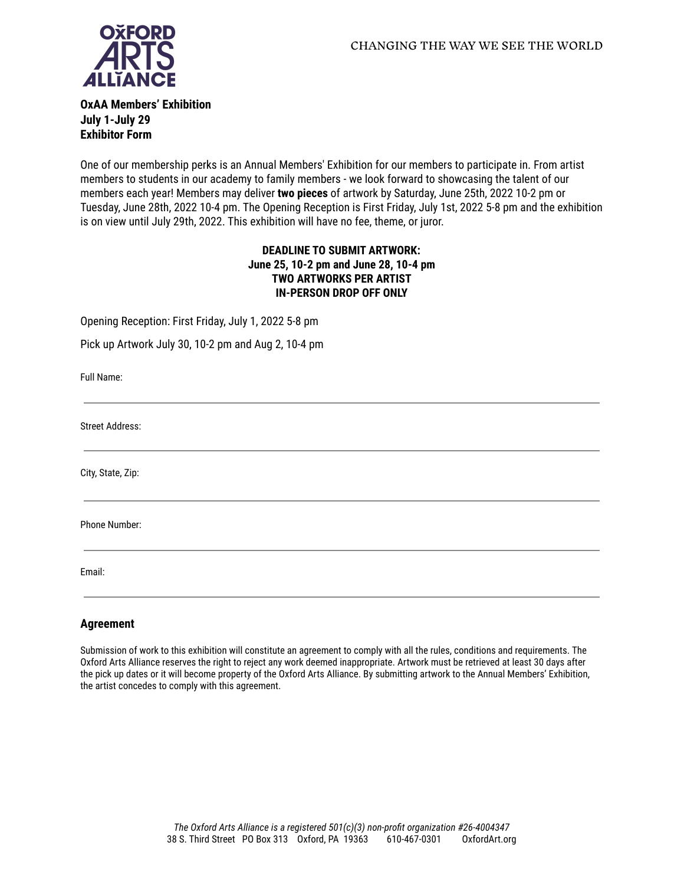

**OxAA Members' Exhibition July 1-July 29 Exhibitor Form**

One of our membership perks is an Annual Members' Exhibition for our members to participate in. From artist members to students in our academy to family members - we look forward to showcasing the talent of our members each year! Members may deliver **two pieces** of artwork by Saturday, June 25th, 2022 10-2 pm or Tuesday, June 28th, 2022 10-4 pm. The Opening Reception is First Friday, July 1st, 2022 5-8 pm and the exhibition is on view until July 29th, 2022. This exhibition will have no fee, theme, or juror.

## **DEADLINE TO SUBMIT ARTWORK: June 25, 10-2 pm and June 28, 10-4 pm TWO ARTWORKS PER ARTIST IN-PERSON DROP OFF ONLY**

Opening Reception: First Friday, July 1, 2022 5-8 pm

Pick up Artwork July 30, 10-2 pm and Aug 2, 10-4 pm

Full Name:

Street Address:

City, State, Zip:

Phone Number:

Email:

## **Agreement**

Submission of work to this exhibition will constitute an agreement to comply with all the rules, conditions and requirements. The Oxford Arts Alliance reserves the right to reject any work deemed inappropriate. Artwork must be retrieved at least 30 days after the pick up dates or it will become property of the Oxford Arts Alliance. By submitting artwork to the Annual Members' Exhibition, the artist concedes to comply with this agreement.